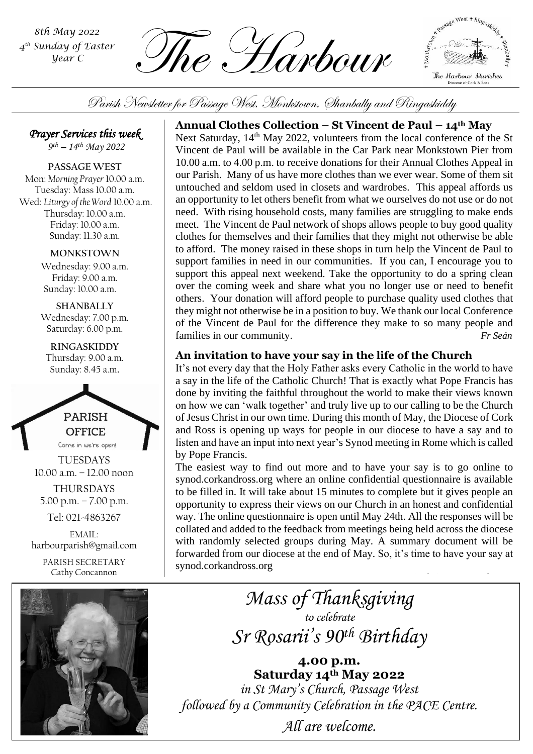*4 th Sunday of Easter Year C*

 $\frac{1}{\text{Sth May 2022}}$ <br>Sunday of Easter<br>*MRC* • Harbour Pour C



Parish Newsletter for Passage West, Monkstown, Shanbally and Ringaskiddy

*Prayer Services this week* 

*9 th – 14th May 2022*

**PASSAGE WEST** Mon: *Morning Prayer* 10.00 a.m. Tuesday: Mass 10.00 a.m. Wed: *Liturgy of the Word* 10.00 a.m. Thursday: 10.00 a.m. Friday: 10.00 a.m. Sunday: 11.30 a.m.

#### **MONKSTOWN**

Wednesday: 9.00 a.m. Friday: 9.00 a.m. Sunday: 10.00 a.m.

**SHANBALLY** Wednesday: 7.00 p.m. Saturday: 6.00 p.m.

**RINGASKIDDY** Thursday: 9.00 a.m. Sunday: 8.45 a.m.



TUESDAYS 10.00 a.m. – 12.00 noon THURSDAYS 5.00 p.m. – 7.00 p.m. Tel: 021-4863267

EMAIL: harbourparish@gmail.com

> PARISH SECRETARY Cathy Concannon



## **Annual Clothes Collection – St Vincent de Paul – 14th May**

Next Saturday, 14<sup>th</sup> May 2022, volunteers from the local conference of the St Vincent de Paul will be available in the Car Park near Monkstown Pier from 10.00 a.m. to 4.00 p.m. to receive donations for their Annual Clothes Appeal in our Parish. Many of us have more clothes than we ever wear. Some of them sit untouched and seldom used in closets and wardrobes. This appeal affords us an opportunity to let others benefit from what we ourselves do not use or do not need. With rising household costs, many families are struggling to make ends meet. The Vincent de Paul network of shops allows people to buy good quality clothes for themselves and their families that they might not otherwise be able to afford. The money raised in these shops in turn help the Vincent de Paul to support families in need in our communities. If you can, I encourage you to support this appeal next weekend. Take the opportunity to do a spring clean over the coming week and share what you no longer use or need to benefit others. Your donation will afford people to purchase quality used clothes that they might not otherwise be in a position to buy. We thank our local Conference of the Vincent de Paul for the difference they make to so many people and families in our community. *Fr Seán*

## **An invitation to have your say in the life of the Church**

by Pope Francis. It's not every day that the Holy Father asks every Catholic in the world to have a say in the life of the Catholic Church! That is exactly what Pope Francis has done by inviting the faithful throughout the world to make their views known on how we can 'walk together' and truly live up to our calling to be the Church of Jesus Christ in our own time. During this month of May, the Diocese of Cork and Ross is opening up ways for people in our diocese to have a say and to listen and have an input into next year's Synod meeting in Rome which is called

The easiest way to find out more and to have your say is to go online to synod.corkandross.org where an online confidential questionnaire is available to be filled in. It will take about 15 minutes to complete but it gives people an opportunity to express their views on our Church in an honest and confidential way. The online questionnaire is open until May 24th. All the responses will be collated and added to the feedback from meetings being held across the diocese with randomly selected groups during May. A summary document will be forwarded from our diocese at the end of May. So, it's time to have your say at synod.corkandross.org

> *Mass of Thanksgiving to celebrate Sr Rosarii's 90th Birthday*

**4.00 p.m. Saturday 14th May 2022** *in St Mary's Church, Passage West followed by a Community Celebration in the PACE Centre.*

*All are welcome.*